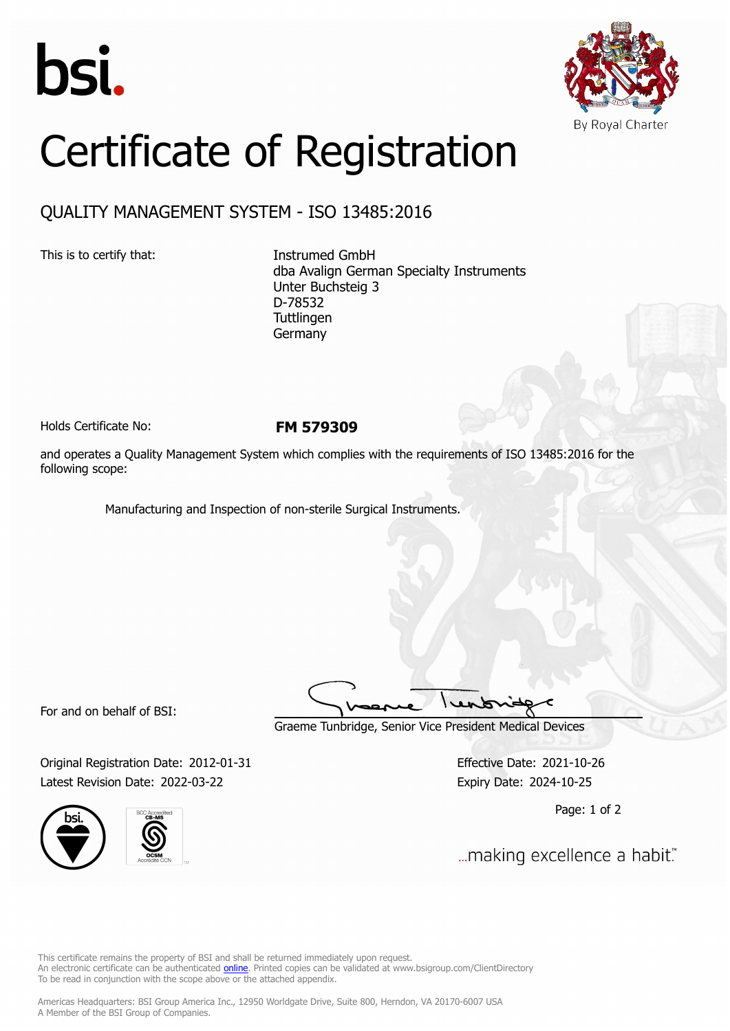



## Certificate of Registration

## QUALITY MANAGEMENT SYSTEM - ISO 13485:2016

This is to certify that: Instrumed GmbH

dba Avalign German Specialty Instruments Unter Buchsteig 3 D-78532 **Tuttlingen** Germany

Holds Certificate No: **FM 579309**

and operates a Quality Management System which complies with the requirements of ISO 13485:2016 for the following scope:

Manufacturing and Inspection of non-sterile Surgical Instruments.

For and on behalf of BSI:

Graeme Tunbridge, Senior Vice President Medical Devices

Original Registration Date: 2012-01-31 Effective Date: 2021-10-26 Latest Revision Date: 2022-03-22 Expiry Date: 2024-10-25





Page: 1 of 2

... making excellence a habit."

This certificate remains the property of BSI and shall be returned immediately upon request. An electronic certificate can be authenticated *[online](https://pgplus.bsigroup.com/CertificateValidation/CertificateValidator.aspx?CertificateNumber=FM+579309&ReIssueDate=22%2f03%2f2022&Template=inc)*. Printed copies can be validated at www.bsigroup.com/ClientDirectory To be read in conjunction with the scope above or the attached appendix.

Americas Headquarters: BSI Group America Inc., 12950 Worldgate Drive, Suite 800, Herndon, VA 20170-6007 USA A Member of the BSI Group of Companies.